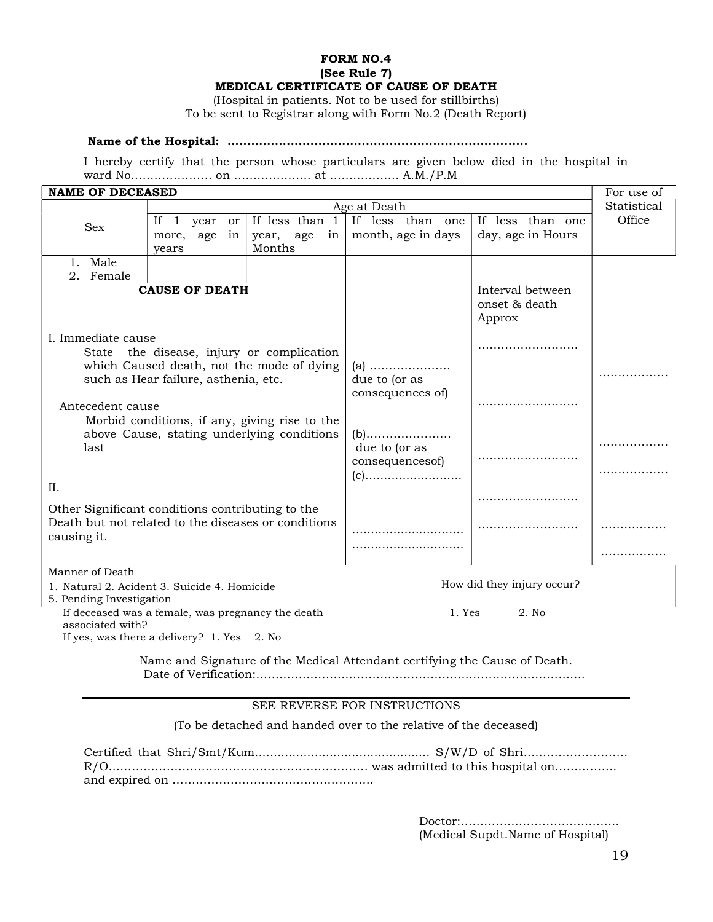## FORM NO.4 (See Rule 7) MEDICAL CERTIFICATE OF CAUSE OF DEATH

(Hospital in patients. Not to be used for stillbirths) To be sent to Registrar along with Form No.2 (Death Report)

## Name of the Hospital: ............................................................................

I hereby certify that the person whose particulars are given below died in the hospital in ward No………………… on ……………….. at ……………… A.M./P.M

| <b>NAME OF DECEASED</b>                                                                                                                              |                                                                                                 |                            |                                  |                                             | For use of  |
|------------------------------------------------------------------------------------------------------------------------------------------------------|-------------------------------------------------------------------------------------------------|----------------------------|----------------------------------|---------------------------------------------|-------------|
|                                                                                                                                                      | Age at Death                                                                                    |                            |                                  |                                             | Statistical |
| ${\rm Sex}$                                                                                                                                          | If 1 year or                                                                                    | If less than 1             | If less than one                 | If less than one                            | Office      |
|                                                                                                                                                      | more, age<br>in                                                                                 | year, age<br>in            | month, age in days               | day, age in Hours                           |             |
|                                                                                                                                                      | years                                                                                           | Months                     |                                  |                                             |             |
| 1. Male                                                                                                                                              |                                                                                                 |                            |                                  |                                             |             |
| 2.<br>Female                                                                                                                                         |                                                                                                 |                            |                                  |                                             |             |
| <b>CAUSE OF DEATH</b>                                                                                                                                |                                                                                                 |                            |                                  | Interval between<br>onset & death<br>Approx |             |
| I. Immediate cause<br>State the disease, injury or complication<br>which Caused death, not the mode of dying<br>such as Hear failure, asthenia, etc. |                                                                                                 |                            | $(a)$<br>due to (or as           | .                                           |             |
| Antecedent cause<br>Morbid conditions, if any, giving rise to the<br>above Cause, stating underlying conditions                                      |                                                                                                 |                            | consequences of)<br>$(b)$        |                                             |             |
| last<br>II.                                                                                                                                          |                                                                                                 |                            | due to (or as<br>consequencesof) |                                             |             |
| Other Significant conditions contributing to the                                                                                                     |                                                                                                 |                            |                                  |                                             |             |
| Death but not related to the diseases or conditions<br>causing it.                                                                                   |                                                                                                 |                            |                                  |                                             |             |
|                                                                                                                                                      |                                                                                                 |                            |                                  |                                             |             |
| Manner of Death<br>1. Natural 2. Acident 3. Suicide 4. Homicide<br>5. Pending Investigation                                                          |                                                                                                 | How did they injury occur? |                                  |                                             |             |
| associated with?                                                                                                                                     | If deceased was a female, was pregnancy the death<br>If yes, was there a delivery? 1. Yes 2. No |                            | 2. No<br>1. Yes                  |                                             |             |

Name and Signature of the Medical Attendant certifying the Cause of Death. Date of Verification:………………………………………………………………………….

## SEE REVERSE FOR INSTRUCTIONS

(To be detached and handed over to the relative of the deceased)

 Doctor:………………………………….. (Medical Supdt.Name of Hospital)